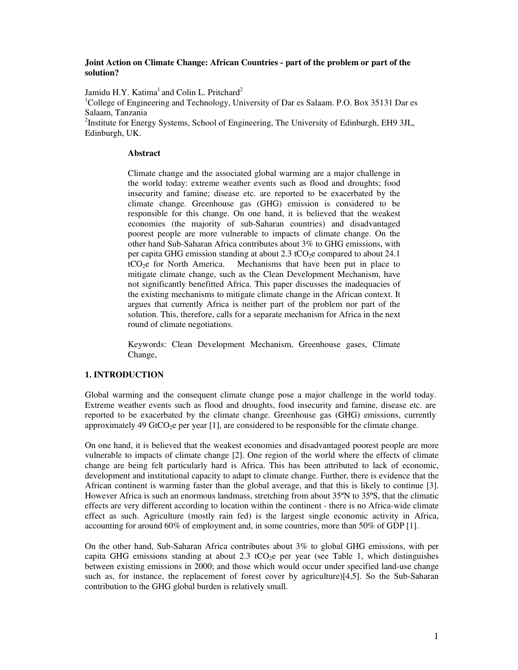### **Joint Action on Climate Change: African Countries - part of the problem or part of the solution?**

Jamidu H.Y. Katima<sup>1</sup> and Colin L. Pritchard<sup>2</sup>

<sup>1</sup>College of Engineering and Technology, University of Dar es Salaam. P.O. Box 35131 Dar es Salaam, Tanzania

<sup>2</sup>Institute for Energy Systems, School of Engineering, The University of Edinburgh, EH9 3JL, Edinburgh, UK.

#### **Abstract**

Climate change and the associated global warming are a major challenge in the world today: extreme weather events such as flood and droughts; food insecurity and famine; disease etc. are reported to be exacerbated by the climate change. Greenhouse gas (GHG) emission is considered to be responsible for this change. On one hand, it is believed that the weakest economies (the majority of sub-Saharan countries) and disadvantaged poorest people are more vulnerable to impacts of climate change. On the other hand Sub-Saharan Africa contributes about 3% to GHG emissions, with per capita GHG emission standing at about 2.3 tCO<sub>2</sub>e compared to about 24.1  $tCO<sub>2</sub>e$  for North America. Mechanisms that have been put in place to mitigate climate change, such as the Clean Development Mechanism, have not significantly benefitted Africa. This paper discusses the inadequacies of the existing mechanisms to mitigate climate change in the African context. It argues that currently Africa is neither part of the problem nor part of the solution. This, therefore, calls for a separate mechanism for Africa in the next round of climate negotiations.

Keywords: Clean Development Mechanism, Greenhouse gases, Climate Change,

# **1. INTRODUCTION**

Global warming and the consequent climate change pose a major challenge in the world today. Extreme weather events such as flood and droughts, food insecurity and famine, disease etc. are reported to be exacerbated by the climate change. Greenhouse gas (GHG) emissions, currently approximately 49 GtCO<sub>2</sub>e per year [1], are considered to be responsible for the climate change.

On one hand, it is believed that the weakest economies and disadvantaged poorest people are more vulnerable to impacts of climate change [2]. One region of the world where the effects of climate change are being felt particularly hard is Africa. This has been attributed to lack of economic, development and institutional capacity to adapt to climate change. Further, there is evidence that the African continent is warming faster than the global average, and that this is likely to continue [3]. However Africa is such an enormous landmass, stretching from about 35ºN to 35ºS, that the climatic effects are very different according to location within the continent - there is no Africa-wide climate effect as such. Agriculture (mostly rain fed) is the largest single economic activity in Africa, accounting for around 60% of employment and, in some countries, more than 50% of GDP [1].

On the other hand, Sub-Saharan Africa contributes about 3% to global GHG emissions, with per capita GHG emissions standing at about 2.3 tCO<sub>2</sub>e per year (see Table 1, which distinguishes between existing emissions in 2000; and those which would occur under specified land-use change such as, for instance, the replacement of forest cover by agriculture)[4,5]. So the Sub-Saharan contribution to the GHG global burden is relatively small.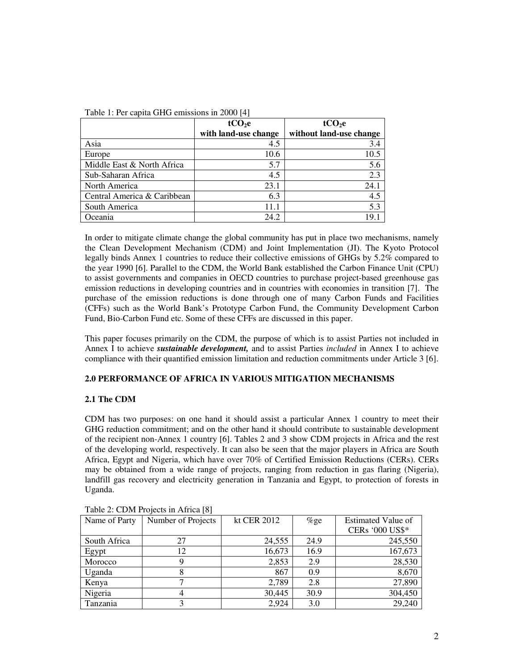| $1.001$ $1.1.01$ $1.001$ $1.001$ $1.001$ $1.001$ $1.001$ $1.001$ $1.001$ |                      |                         |  |  |
|--------------------------------------------------------------------------|----------------------|-------------------------|--|--|
|                                                                          | tCO <sub>2</sub> e   | tCO <sub>2</sub> e      |  |  |
|                                                                          | with land-use change | without land-use change |  |  |
| Asia                                                                     | 4.5                  | 3.4                     |  |  |
| Europe                                                                   | 10.6                 | 10.5                    |  |  |
| Middle East & North Africa                                               | 5.7                  | 5.6                     |  |  |
| Sub-Saharan Africa                                                       | 4.5                  | 2.3                     |  |  |
| North America                                                            | 23.1                 | 24.1                    |  |  |
| Central America & Caribbean                                              | 6.3                  | 4.5                     |  |  |
| South America                                                            | 11.1                 | 5.3                     |  |  |
| Oceania                                                                  | 24.2                 | 19.1                    |  |  |

Table 1: Per capita GHG emissions in 2000 [4]

In order to mitigate climate change the global community has put in place two mechanisms, namely the Clean Development Mechanism (CDM) and Joint Implementation (JI). The Kyoto Protocol legally binds Annex 1 countries to reduce their collective emissions of GHGs by 5.2% compared to the year 1990 [6]. Parallel to the CDM, the World Bank established the Carbon Finance Unit (CPU) to assist governments and companies in OECD countries to purchase project-based greenhouse gas emission reductions in developing countries and in countries with economies in transition [7]. The purchase of the emission reductions is done through one of many Carbon Funds and Facilities (CFFs) such as the World Bank's Prototype Carbon Fund, the Community Development Carbon Fund, Bio-Carbon Fund etc. Some of these CFFs are discussed in this paper.

This paper focuses primarily on the CDM, the purpose of which is to assist Parties not included in Annex I to achieve *sustainable development,* and to assist Parties *included* in Annex I to achieve compliance with their quantified emission limitation and reduction commitments under Article 3 [6].

# **2.0 PERFORMANCE OF AFRICA IN VARIOUS MITIGATION MECHANISMS**

# **2.1 The CDM**

CDM has two purposes: on one hand it should assist a particular Annex 1 country to meet their GHG reduction commitment; and on the other hand it should contribute to sustainable development of the recipient non-Annex 1 country [6]. Tables 2 and 3 show CDM projects in Africa and the rest of the developing world, respectively. It can also be seen that the major players in Africa are South Africa, Egypt and Nigeria, which have over 70% of Certified Emission Reductions (CERs). CERs may be obtained from a wide range of projects, ranging from reduction in gas flaring (Nigeria), landfill gas recovery and electricity generation in Tanzania and Egypt, to protection of forests in Uganda.

| $1.4010 \pm 0.0111 \pm 1.01000 \pm 0.0111 \pm 0.0100$ |                    |             |         |                           |
|-------------------------------------------------------|--------------------|-------------|---------|---------------------------|
| Name of Party                                         | Number of Projects | kt CER 2012 | $\%$ ge | <b>Estimated Value of</b> |
|                                                       |                    |             |         | <b>CERs '000 US\$*</b>    |
| South Africa                                          | 27                 | 24,555      | 24.9    | 245,550                   |
| Egypt                                                 | 12                 | 16,673      | 16.9    | 167,673                   |
| Morocco                                               |                    | 2,853       | 2.9     | 28,530                    |
| Uganda                                                |                    | 867         | 0.9     | 8,670                     |
| Kenya                                                 |                    | 2,789       | 2.8     | 27,890                    |
| Nigeria                                               |                    | 30,445      | 30.9    | 304,450                   |
| Tanzania                                              |                    | 2,924       | 3.0     | 29,240                    |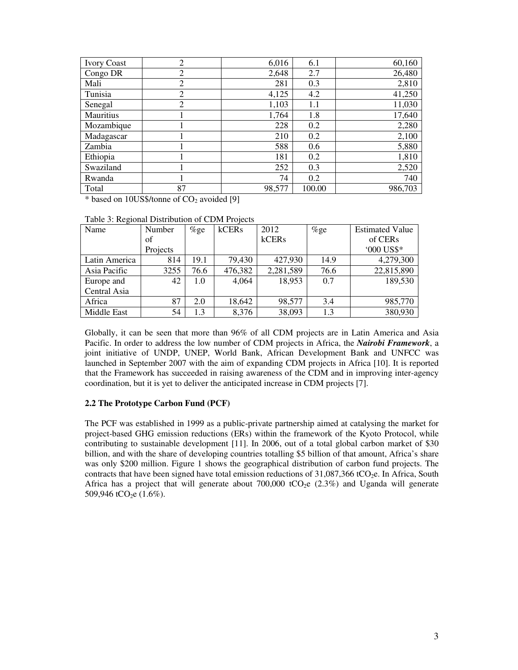| <b>Ivory Coast</b> | 2              | 6,016  | 6.1    | 60,160  |
|--------------------|----------------|--------|--------|---------|
| Congo DR           | 2              | 2,648  | 2.7    | 26,480  |
| Mali               | $\overline{2}$ | 281    | 0.3    | 2,810   |
| Tunisia            | $\overline{2}$ | 4,125  | 4.2    | 41,250  |
| Senegal            | $\overline{2}$ | 1,103  | 1.1    | 11,030  |
| <b>Mauritius</b>   |                | 1,764  | 1.8    | 17,640  |
| Mozambique         |                | 228    | 0.2    | 2,280   |
| Madagascar         |                | 210    | 0.2    | 2,100   |
| Zambia             |                | 588    | 0.6    | 5,880   |
| Ethiopia           |                | 181    | 0.2    | 1,810   |
| Swaziland          |                | 252    | 0.3    | 2,520   |
| Rwanda             |                | 74     | 0.2    | 740     |
| Total              | 87             | 98,577 | 100.00 | 986,703 |

 $*$  based on 10US\$/tonne of  $CO<sub>2</sub>$  avoided [9]

| Table 3: Regional Distribution of CDM Projects |  |
|------------------------------------------------|--|
|------------------------------------------------|--|

| Name          | Number   | $%$ ge | kCERs   | 2012      | $%$ ge | <b>Estimated Value</b> |
|---------------|----------|--------|---------|-----------|--------|------------------------|
|               | of       |        |         | kCERs     |        | of CER <sub>s</sub>    |
|               | Projects |        |         |           |        | '000 US\$*             |
| Latin America | 814      | 19.1   | 79,430  | 427,930   | 14.9   | 4,279,300              |
| Asia Pacific  | 3255     | 76.6   | 476,382 | 2,281,589 | 76.6   | 22,815,890             |
| Europe and    | 42       | 1.0    | 4,064   | 18,953    | 0.7    | 189,530                |
| Central Asia  |          |        |         |           |        |                        |
| Africa        | 87       | 2.0    | 18,642  | 98,577    | 3.4    | 985,770                |
| Middle East   | 54       | 1.3    | 8,376   | 38,093    | 1.3    | 380,930                |

Globally, it can be seen that more than 96% of all CDM projects are in Latin America and Asia Pacific. In order to address the low number of CDM projects in Africa, the *Nairobi Framework*, a joint initiative of UNDP, UNEP, World Bank, African Development Bank and UNFCC was launched in September 2007 with the aim of expanding CDM projects in Africa [10]. It is reported that the Framework has succeeded in raising awareness of the CDM and in improving inter-agency coordination, but it is yet to deliver the anticipated increase in CDM projects [7].

### **2.2 The Prototype Carbon Fund (PCF)**

The PCF was established in 1999 as a public-private partnership aimed at catalysing the market for project-based GHG emission reductions (ERs) within the framework of the Kyoto Protocol, while contributing to sustainable development [11]. In 2006, out of a total global carbon market of \$30 billion, and with the share of developing countries totalling \$5 billion of that amount, Africa's share was only \$200 million. Figure 1 shows the geographical distribution of carbon fund projects. The contracts that have been signed have total emission reductions of  $31,087,366$  tCO<sub>2</sub>e. In Africa, South Africa has a project that will generate about 700,000 tCO<sub>2</sub>e  $(2.3\%)$  and Uganda will generate 509,946 tCO<sub>2</sub>e  $(1.6\%)$ .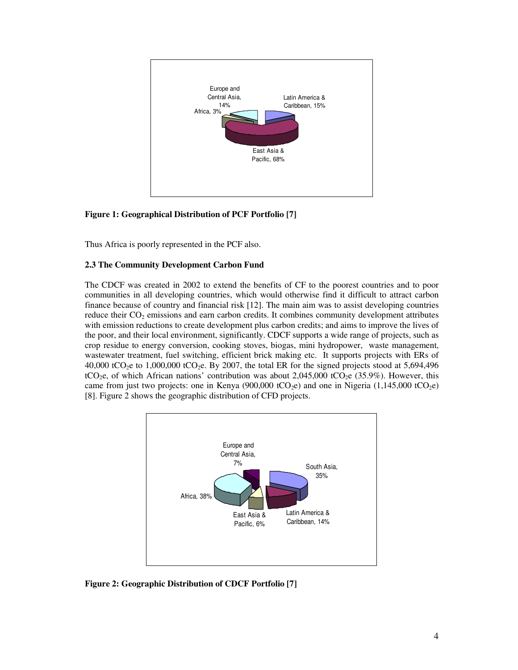

# **Figure 1: Geographical Distribution of PCF Portfolio [7]**

Thus Africa is poorly represented in the PCF also.

#### **2.3 The Community Development Carbon Fund**

The CDCF was created in 2002 to extend the benefits of CF to the poorest countries and to poor communities in all developing countries, which would otherwise find it difficult to attract carbon finance because of country and financial risk [12]. The main aim was to assist developing countries reduce their CO<sub>2</sub> emissions and earn carbon credits. It combines community development attributes with emission reductions to create development plus carbon credits; and aims to improve the lives of the poor, and their local environment, significantly. CDCF supports a wide range of projects, such as crop residue to energy conversion, cooking stoves, biogas, mini hydropower, waste management, wastewater treatment, fuel switching, efficient brick making etc. It supports projects with ERs of 40,000 tCO<sub>2</sub>e to 1,000,000 tCO<sub>2</sub>e. By 2007, the total ER for the signed projects stood at 5,694,496 tCO<sub>2</sub>e, of which African nations' contribution was about 2,045,000 tCO<sub>2</sub>e (35.9%). However, this came from just two projects: one in Kenya (900,000 tCO<sub>2</sub>e) and one in Nigeria (1,145,000 tCO<sub>2</sub>e) [8]. Figure 2 shows the geographic distribution of CFD projects.



**Figure 2: Geographic Distribution of CDCF Portfolio [7]**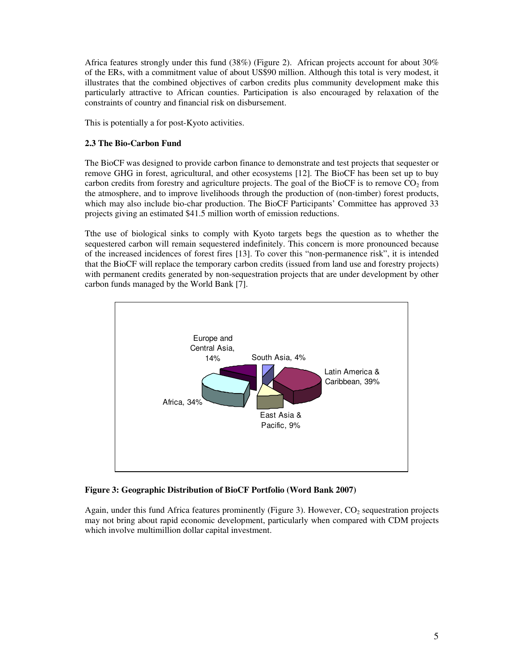Africa features strongly under this fund (38%) (Figure 2). African projects account for about 30% of the ERs, with a commitment value of about US\$90 million. Although this total is very modest, it illustrates that the combined objectives of carbon credits plus community development make this particularly attractive to African counties. Participation is also encouraged by relaxation of the constraints of country and financial risk on disbursement.

This is potentially a for post-Kyoto activities.

#### **2.3 The Bio-Carbon Fund**

The BioCF was designed to provide carbon finance to demonstrate and test projects that sequester or remove GHG in forest, agricultural, and other ecosystems [12]. The BioCF has been set up to buy carbon credits from forestry and agriculture projects. The goal of the BioCF is to remove  $CO<sub>2</sub>$  from the atmosphere, and to improve livelihoods through the production of (non-timber) forest products, which may also include bio-char production. The BioCF Participants' Committee has approved 33 projects giving an estimated \$41.5 million worth of emission reductions.

Tthe use of biological sinks to comply with Kyoto targets begs the question as to whether the sequestered carbon will remain sequestered indefinitely. This concern is more pronounced because of the increased incidences of forest fires [13]. To cover this "non-permanence risk", it is intended that the BioCF will replace the temporary carbon credits (issued from land use and forestry projects) with permanent credits generated by non-sequestration projects that are under development by other carbon funds managed by the World Bank [7].



**Figure 3: Geographic Distribution of BioCF Portfolio (Word Bank 2007)** 

Again, under this fund Africa features prominently (Figure 3). However,  $CO<sub>2</sub>$  sequestration projects may not bring about rapid economic development, particularly when compared with CDM projects which involve multimillion dollar capital investment.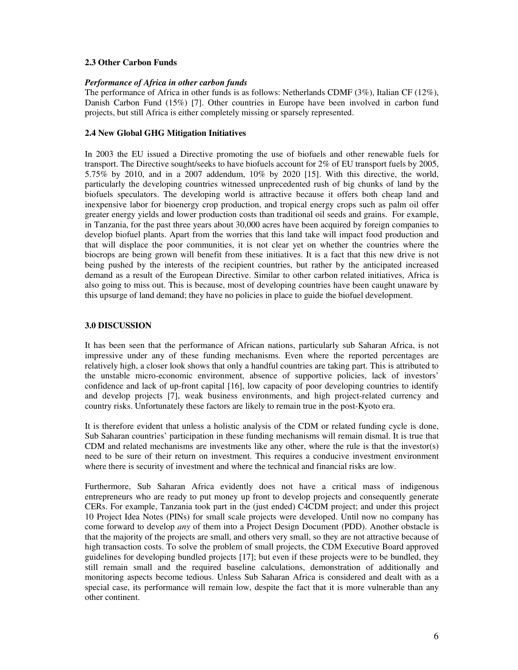## **2.3 Other Carbon Funds**

## *Performance of Africa in other carbon funds*

The performance of Africa in other funds is as follows: Netherlands CDMF (3%), Italian CF (12%), Danish Carbon Fund (15%) [7]. Other countries in Europe have been involved in carbon fund projects, but still Africa is either completely missing or sparsely represented.

## **2.4 New Global GHG Mitigation Initiatives**

In 2003 the EU issued a Directive promoting the use of biofuels and other renewable fuels for transport. The Directive sought/seeks to have biofuels account for 2% of EU transport fuels by 2005, 5.75% by 2010, and in a 2007 addendum, 10% by 2020 [15]. With this directive, the world, particularly the developing countries witnessed unprecedented rush of big chunks of land by the biofuels speculators. The developing world is attractive because it offers both cheap land and inexpensive labor for bioenergy crop production, and tropical energy crops such as palm oil offer greater energy yields and lower production costs than traditional oil seeds and grains. For example, in Tanzania, for the past three years about 30,000 acres have been acquired by foreign companies to develop biofuel plants. Apart from the worries that this land take will impact food production and that will displace the poor communities, it is not clear yet on whether the countries where the biocrops are being grown will benefit from these initiatives. It is a fact that this new drive is not being pushed by the interests of the recipient countries, but rather by the anticipated increased demand as a result of the European Directive. Similar to other carbon related initiatives, Africa is also going to miss out. This is because, most of developing countries have been caught unaware by this upsurge of land demand; they have no policies in place to guide the biofuel development.

## **3.0 DISCUSSION**

It has been seen that the performance of African nations, particularly sub Saharan Africa, is not impressive under any of these funding mechanisms. Even where the reported percentages are relatively high, a closer look shows that only a handful countries are taking part. This is attributed to the unstable micro-economic environment, absence of supportive policies, lack of investors' confidence and lack of up-front capital [16], low capacity of poor developing countries to identify and develop projects [7], weak business environments, and high project-related currency and country risks. Unfortunately these factors are likely to remain true in the post-Kyoto era.

It is therefore evident that unless a holistic analysis of the CDM or related funding cycle is done, Sub Saharan countries' participation in these funding mechanisms will remain dismal. It is true that CDM and related mechanisms are investments like any other, where the rule is that the investor(s) need to be sure of their return on investment. This requires a conducive investment environment where there is security of investment and where the technical and financial risks are low.

Furthermore, Sub Saharan Africa evidently does not have a critical mass of indigenous entrepreneurs who are ready to put money up front to develop projects and consequently generate CERs. For example, Tanzania took part in the (just ended) C4CDM project; and under this project 10 Project Idea Notes (PINs) for small scale projects were developed. Until now no company has come forward to develop *any* of them into a Project Design Document (PDD). Another obstacle is that the majority of the projects are small, and others very small, so they are not attractive because of high transaction costs. To solve the problem of small projects, the CDM Executive Board approved guidelines for developing bundled projects [17]; but even if these projects were to be bundled, they still remain small and the required baseline calculations, demonstration of additionally and monitoring aspects become tedious. Unless Sub Saharan Africa is considered and dealt with as a special case, its performance will remain low, despite the fact that it is more vulnerable than any other continent.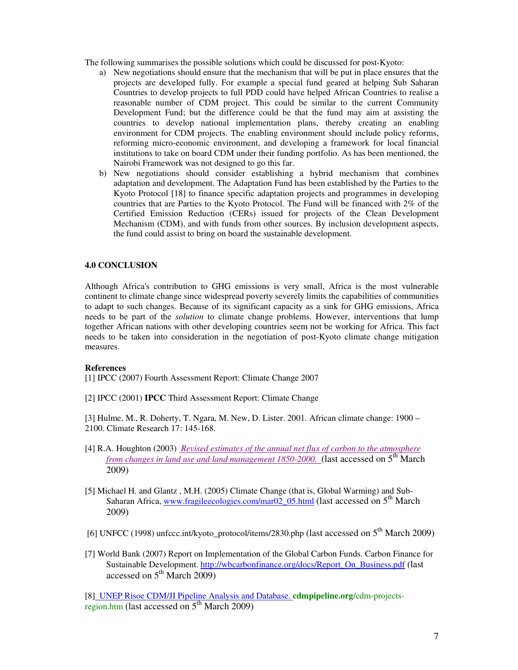The following summarises the possible solutions which could be discussed for post-Kyoto:

- a) New negotiations should ensure that the mechanism that will be put in place ensures that the projects are developed fully. For example a special fund geared at helping Sub Saharan Countries to develop projects to full PDD could have helped African Countries to realise a reasonable number of CDM project. This could be similar to the current Community Development Fund; but the difference could be that the fund may aim at assisting the countries to develop national implementation plans, thereby creating an enabling environment for CDM projects. The enabling environment should include policy reforms, reforming micro-economic environment, and developing a framework for local financial institutions to take on board CDM under their funding portfolio. As has been mentioned, the Nairobi Framework was not designed to go this far.
- b) New negotiations should consider establishing a hybrid mechanism that combines adaptation and development. The Adaptation Fund has been established by the Parties to the Kyoto Protocol [18] to finance specific adaptation projects and programmes in developing countries that are Parties to the Kyoto Protocol. The Fund will be financed with 2% of the Certified Emission Reduction (CERs) issued for projects of the Clean Development Mechanism (CDM), and with funds from other sources. By inclusion development aspects, the fund could assist to bring on board the sustainable development.

## **4.0 CONCLUSION**

Although Africa's contribution to GHG emissions is very small, Africa is the most vulnerable continent to climate change since widespread poverty severely limits the capabilities of communities to adapt to such changes. Because of its significant capacity as a sink for GHG emissions, Africa needs to be part of the *solution* to climate change problems. However, interventions that lump together African nations with other developing countries seem not be working for Africa. This fact needs to be taken into consideration in the negotiation of post-Kyoto climate change mitigation measures.

### **References**

[1] IPCC (2007) Fourth Assessment Report: Climate Change 2007

[2] IPCC (2001) **IPCC** Third Assessment Report: Climate Change

[3] Hulme, M., R. Doherty, T. Ngara, M. New, D. Lister. 2001. African climate change: 1900 – 2100. Climate Research 17: 145-168.

- [4] R.A. Houghton (2003) *Revised estimates of the annual net flux of carbon to the atmosphere from changes in land use and land management 1850-2000.* (last accessed on 5<sup>th</sup> March 2009)
- [5] Michael H. and Glantz , M.H. (2005) Climate Change (that is, Global Warming) and Sub-Saharan Africa, www.fragileecologies.com/mar02\_05.html (last accessed on 5<sup>th</sup> March 2009)
- [6] UNFCC (1998) unfccc.int/kyoto\_protocol/items/2830.php (last accessed on  $5<sup>th</sup>$  March 2009)
- [7] World Bank (2007) Report on Implementation of the Global Carbon Funds. Carbon Finance for Sustainable Development. http://wbcarbonfinance.org/docs/Report\_On\_Business.pdf (last accessed on  $5<sup>th</sup>$  March 2009)

[8] UNEP Risoe CDM/JI Pipeline Analysis and Database. **cdmpipeline.org**/cdm-projectsregion.htm (last accessed on  $5<sup>th</sup>$  March 2009)